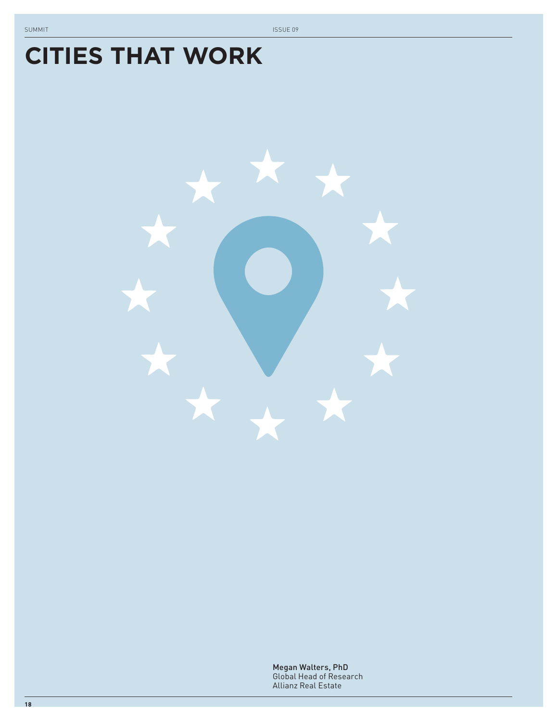# **CITIES THAT WORK**



Megan Walters, PhD Global Head of Research Allianz Real Estate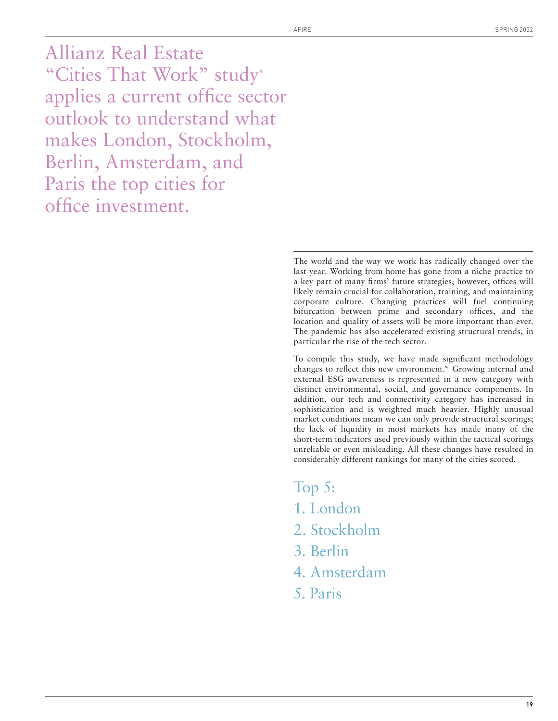Allianz Real Estate "Cities That Work" study\* applies a current office sector outlook to understand what makes London, Stockholm, Berlin, Amsterdam, and Paris the top cities for office investment.

> The world and the way we work has radically changed over the last year. Working from home has gone from a niche practice to a key part of many firms' future strategies; however, offices will likely remain crucial for collaboration, training, and maintaining corporate culture. Changing practices will fuel continuing bifurcation between prime and secondary offices, and the location and quality of assets will be more important than ever. The pandemic has also accelerated existing structural trends, in particular the rise of the tech sector.

> To compile this study, we have made significant methodology changes to reflect this new environment.\* Growing internal and external ESG awareness is represented in a new category with distinct environmental, social, and governance components. In addition, our tech and connectivity category has increased in sophistication and is weighted much heavier. Highly unusual market conditions mean we can only provide structural scorings; the lack of liquidity in most markets has made many of the short-term indicators used previously within the tactical scorings unreliable or even misleading. All these changes have resulted in considerably different rankings for many of the cities scored.

Top 5:

- 1. London
- 2. Stockholm
- 3. Berlin
- 4. Amsterdam
- 5. Paris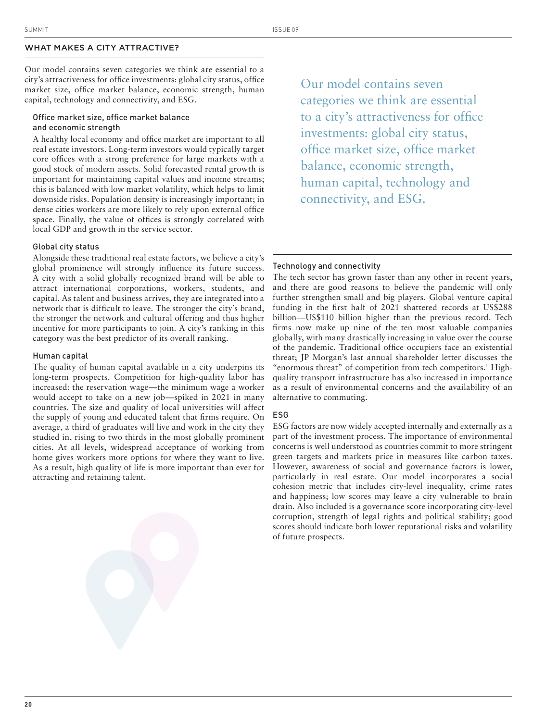# WHAT MAKES A CITY ATTRACTIVE?

Our model contains seven categories we think are essential to a city's attractiveness for office investments: global city status, office market size, office market balance, economic strength, human capital, technology and connectivity, and ESG.

# Office market size, office market balance and economic strength

A healthy local economy and office market are important to all real estate investors. Long-term investors would typically target core offices with a strong preference for large markets with a good stock of modern assets. Solid forecasted rental growth is important for maintaining capital values and income streams; this is balanced with low market volatility, which helps to limit downside risks. Population density is increasingly important; in dense cities workers are more likely to rely upon external office space. Finally, the value of offices is strongly correlated with local GDP and growth in the service sector.

Our model contains seven categories we think are essential to a city's attractiveness for office investments: global city status, office market size, office market balance, economic strength, human capital, technology and connectivity, and ESG.

#### Global city status

 Alongside these traditional real estate factors, we believe a city's global prominence will strongly influence its future success. A city with a solid globally recognized brand will be able to attract international corporations, workers, students, and capital. As talent and business arrives, they are integrated into a network that is difficult to leave. The stronger the city's brand, the stronger the network and cultural offering and thus higher incentive for more participants to join. A city's ranking in this category was the best predictor of its overall ranking.

#### Human capital

 The quality of human capital available in a city underpins its long-term prospects. Competition for high-quality labor has increased: the reservation wage—the minimum wage a worker would accept to take on a new job—spiked in 2021 in many countries. The size and quality of local universities will affect the supply of young and educated talent that firms require. On average, a third of graduates will live and work in the city they studied in, rising to two thirds in the most globally prominent cities. At all levels, widespread acceptance of working from home gives workers more options for where they want to live. As a result, high quality of life is more important than ever for attracting and retaining talent.

#### Technology and connectivity

The tech sector has grown faster than any other in recent years, and there are good reasons to believe the pandemic will only further strengthen small and big players. Global venture capital funding in the first half of  $2021$  shattered records at US\$288 billion—US\$110 billion higher than the previous record. Tech firms now make up nine of the ten most valuable companies globally, with many drastically increasing in value over the course of the pandemic. Traditional office occupiers face an existential threat; JP Morgan's last annual shareholder letter discusses the "enormous threat" of competition from tech competitors.<sup>1</sup> Highquality transport infrastructure has also increased in importance as a result of environmental concerns and the availability of an alternative to commuting.

#### ESG

 ESG factors are now widely accepted internally and externally as a part of the investment process. The importance of environmental concerns is well understood as countries commit to more stringent green targets and markets price in measures like carbon taxes. However, awareness of social and governance factors is lower, particularly in real estate. Our model incorporates a social cohesion metric that includes city-level inequality, crime rates and happiness; low scores may leave a city vulnerable to brain drain. Also included is a governance score incorporating city-level corruption, strength of legal rights and political stability; good scores should indicate both lower reputational risks and volatility of future prospects.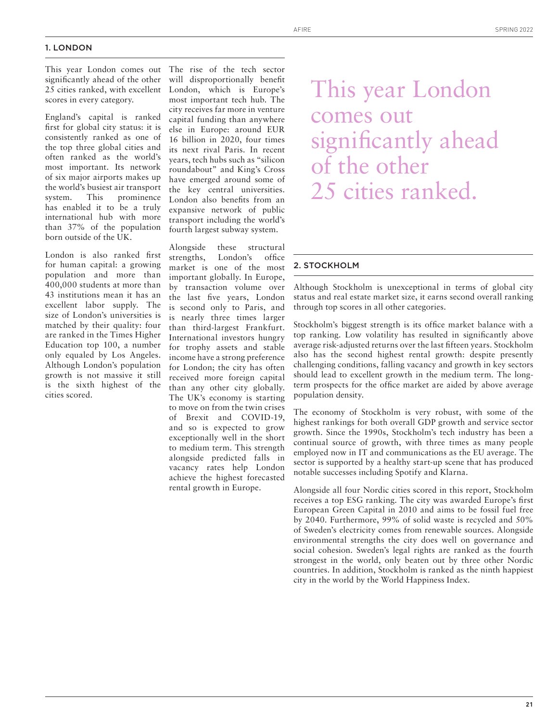#### 1. LONDON

This year London comes out significantly ahead of the other 25 cities ranked, with excellent scores in every category.

England's capital is ranked first for global city status: it is consistently ranked as one of the top three global cities and often ranked as the world's most important. Its network of six major airports makes up the world's busiest air transport system. This prominence has enabled it to be a truly international hub with more than 37% of the population born outside of the UK.

London is also ranked first for human capital: a growing population and more than 400,000 students at more than 43 institutions mean it has an excellent labor supply. The size of London's universities is matched by their quality: four are ranked in the Times Higher Education top 100, a number only equaled by Los Angeles. Although London's population growth is not massive it still is the sixth highest of the cities scored.

The rise of the tech sector will disproportionally benefit London, which is Europe's most important tech hub. The city receives far more in venture capital funding than anywhere else in Europe: around EUR 16 billion in 2020, four times its next rival Paris. In recent years, tech hubs such as "silicon roundabout" and King's Cross have emerged around some of the key central universities. London also benefits from an expansive network of public transport including the world's fourth largest subway system.

Alongside these structural strengths, London's office market is one of the most important globally. In Europe, by transaction volume over the last five years, London is second only to Paris, and is nearly three times larger than third-largest Frankfurt. International investors hungry for trophy assets and stable income have a strong preference for London; the city has often received more foreign capital than any other city globally. The UK's economy is starting to move on from the twin crises of Brexit and COVID-19, and so is expected to grow exceptionally well in the short to medium term. This strength alongside predicted falls in vacancy rates help London achieve the highest forecasted rental growth in Europe.

This year London comes out significantly ahead of the other 25 cities ranked.

# 2. STOCKHOLM

Although Stockholm is unexceptional in terms of global city status and real estate market size, it earns second overall ranking through top scores in all other categories.

Stockholm's biggest strength is its office market balance with a top ranking. Low volatility has resulted in significantly above average risk-adjusted returns over the last fifteen years. Stockholm also has the second highest rental growth: despite presently challenging conditions, falling vacancy and growth in key sectors should lead to excellent growth in the medium term. The longterm prospects for the office market are aided by above average population density.

The economy of Stockholm is very robust, with some of the highest rankings for both overall GDP growth and service sector growth. Since the 1990s, Stockholm's tech industry has been a continual source of growth, with three times as many people employed now in IT and communications as the EU average. The sector is supported by a healthy start-up scene that has produced notable successes including Spotify and Klarna.

Alongside all four Nordic cities scored in this report, Stockholm receives a top ESG ranking. The city was awarded Europe's first European Green Capital in 2010 and aims to be fossil fuel free by 2040. Furthermore, 99% of solid waste is recycled and 50% of Sweden's electricity comes from renewable sources. Alongside environmental strengths the city does well on governance and social cohesion. Sweden's legal rights are ranked as the fourth strongest in the world, only beaten out by three other Nordic countries. In addition, Stockholm is ranked as the ninth happiest city in the world by the World Happiness Index.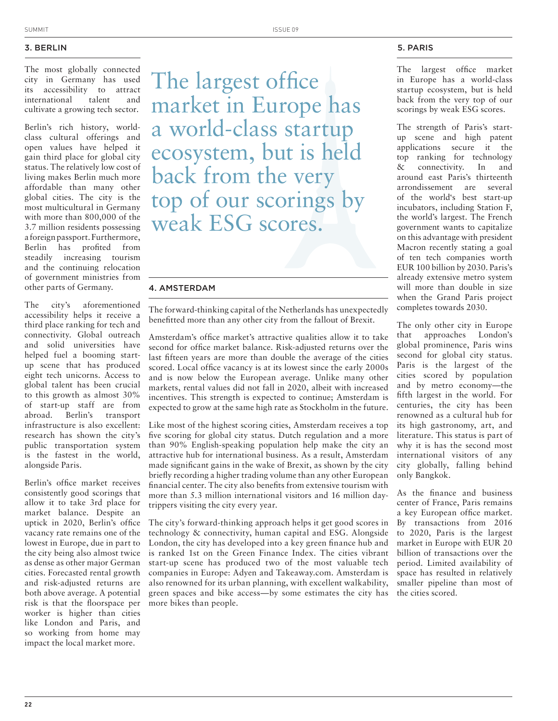# 3. BERLIN

The most globally connected city in Germany has used its accessibility to attract international talent and cultivate a growing tech sector.

Berlin's rich history, worldclass cultural offerings and open values have helped it gain third place for global city status. The relatively low cost of living makes Berlin much more affordable than many other global cities. The city is the most multicultural in Germany with more than 800,000 of the 3.7 million residents possessing a foreign passport. Furthermore, Berlin has profited from steadily increasing tourism and the continuing relocation of government ministries from other parts of Germany.

The city's aforementioned accessibility helps it receive a third place ranking for tech and connectivity. Global outreach and solid universities have helped fuel a booming startup scene that has produced eight tech unicorns. Access to global talent has been crucial to this growth as almost 30% of start-up staff are from abroad. Berlin's transport infrastructure is also excellent: research has shown the city's public transportation system is the fastest in the world, alongside Paris.

Berlin's office market receives consistently good scorings that allow it to take 3rd place for market balance. Despite an uptick in 2020, Berlin's office vacancy rate remains one of the lowest in Europe, due in part to the city being also almost twice as dense as other major German cities. Forecasted rental growth and risk-adjusted returns are both above average. A potential risk is that the floorspace per worker is higher than cities like London and Paris, and so working from home may impact the local market more.

The largest office market in Europe has a world-class startup ecosystem, but is held back from the very top of our scorings by weak ESG scores.

# 4. AMSTERDAM

The forward-thinking capital of the Netherlands has unexpectedly benefitted more than any other city from the fallout of Brexit.

Amsterdam's office market's attractive qualities allow it to take second for office market balance. Risk-adjusted returns over the last fifteen years are more than double the average of the cities scored. Local office vacancy is at its lowest since the early 2000s and is now below the European average. Unlike many other markets, rental values did not fall in 2020, albeit with increased incentives. This strength is expected to continue; Amsterdam is expected to grow at the same high rate as Stockholm in the future.

Like most of the highest scoring cities, Amsterdam receives a top five scoring for global city status. Dutch regulation and a more than 90% English-speaking population help make the city an attractive hub for international business. As a result, Amsterdam made significant gains in the wake of Brexit, as shown by the city briefly recording a higher trading volume than any other European financial center. The city also benefits from extensive tourism with more than 5.3 million international visitors and 16 million daytrippers visiting the city every year.

The city's forward-thinking approach helps it get good scores in technology & connectivity, human capital and ESG. Alongside London, the city has developed into a key green finance hub and is ranked 1st on the Green Finance Index. The cities vibrant start-up scene has produced two of the most valuable tech companies in Europe: Adyen and Takeaway.com. Amsterdam is also renowned for its urban planning, with excellent walkability, green spaces and bike access—by some estimates the city has more bikes than people.

#### 5. PARIS

The largest office market in Europe has a world-class startup ecosystem, but is held back from the very top of our scorings by weak ESG scores.

The strength of Paris's startup scene and high patent applications secure it the top ranking for technology & connectivity. In and around east Paris's thirteenth arrondissement are several of the world's best start-up incubators, including Station F, the world's largest. The French government wants to capitalize on this advantage with president Macron recently stating a goal of ten tech companies worth EUR 100 billion by 2030. Paris's already extensive metro system will more than double in size when the Grand Paris project completes towards 2030.

The only other city in Europe that approaches London's global prominence, Paris wins second for global city status. Paris is the largest of the cities scored by population and by metro economy—the fifth largest in the world. For centuries, the city has been renowned as a cultural hub for its high gastronomy, art, and literature. This status is part of why it is has the second most international visitors of any city globally, falling behind only Bangkok.

As the finance and business center of France, Paris remains a key European office market. By transactions from 2016 to 2020, Paris is the largest market in Europe with EUR 20 billion of transactions over the period. Limited availability of space has resulted in relatively smaller pipeline than most of the cities scored.